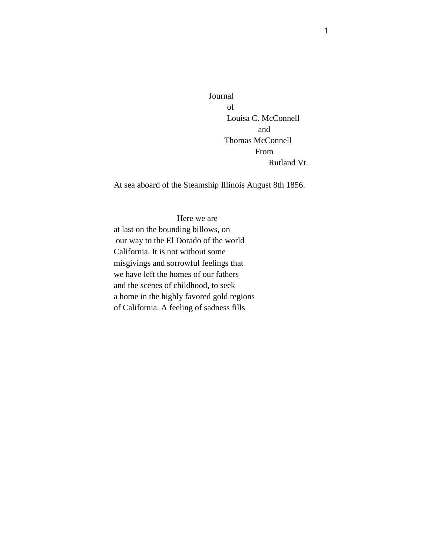Journal of Louisa C. McConnell and Thomas McConnell From Rutland Vt.

At sea aboard of the Steamship Illinois August 8th 1856.

Here we are at last on the bounding billows, on our way to the El Dorado of the world California. It is not without some misgivings and sorrowful feelings that we have left the homes of our fathers and the scenes of childhood, to seek a home in the highly favored gold regions of California. A feeling of sadness fills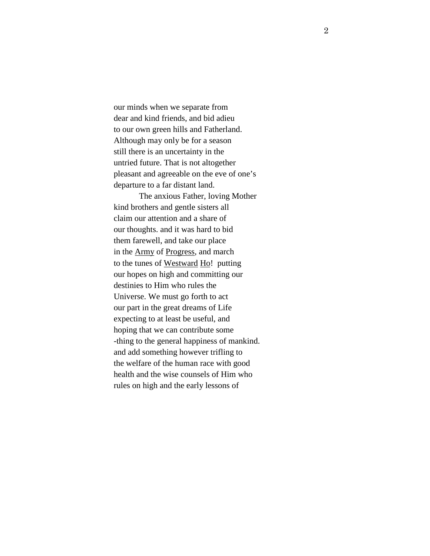our minds when we separate from dear and kind friends, and bid adieu to our own green hills and Fatherland. Although may only be for a season still there is an uncertainty in the untried future. That is not altogether pleasant and agreeable on the eve of one's departure to a far distant land.

 The anxious Father, loving Mother kind brothers and gentle sisters all claim our attention and a share of our thoughts. and it was hard to bid them farewell, and take our place in the Army of Progress, and march to the tunes of Westward Ho! putting our hopes on high and committing our destinies to Him who rules the Universe. We must go forth to act our part in the great dreams of Life expecting to at least be useful, and hoping that we can contribute some -thing to the general happiness of mankind. and add something however trifling to the welfare of the human race with good health and the wise counsels of Him who rules on high and the early lessons of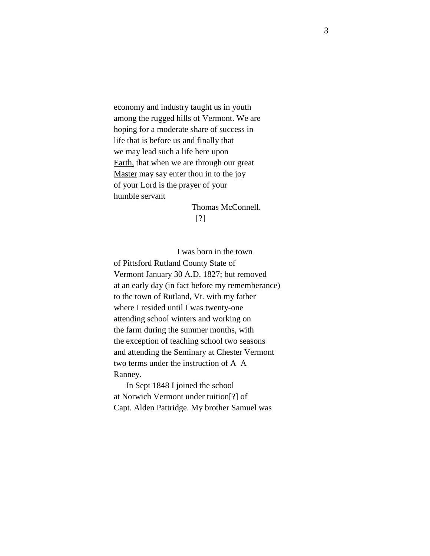economy and industry taught us in youth among the rugged hills of Vermont. We are hoping for a moderate share of success in life that is before us and finally that we may lead such a life here upon Earth, that when we are through our great Master may say enter thou in to the joy of your Lord is the prayer of your humble servant

 Thomas McConnell. [?]

 I was born in the town of Pittsford Rutland County State of Vermont January 30 A.D. 1827; but removed at an early day (in fact before my rememberance) to the town of Rutland, Vt. with my father where I resided until I was twenty-one attending school winters and working on the farm during the summer months, with the exception of teaching school two seasons and attending the Seminary at Chester Vermont two terms under the instruction of A A Ranney.

 In Sept 1848 I joined the school at Norwich Vermont under tuition[?] of Capt. Alden Pattridge. My brother Samuel was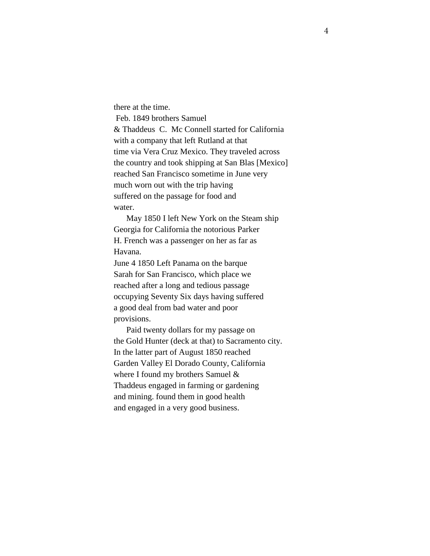there at the time. Feb. 1849 brothers Samuel & Thaddeus C. Mc Connell started for California with a company that left Rutland at that time via Vera Cruz Mexico. They traveled across the country and took shipping at San Blas [Mexico] reached San Francisco sometime in June very much worn out with the trip having suffered on the passage for food and water.

 May 1850 I left New York on the Steam ship Georgia for California the notorious Parker H. French was a passenger on her as far as Havana.

June 4 1850 Left Panama on the barque Sarah for San Francisco, which place we reached after a long and tedious passage occupying Seventy Six days having suffered a good deal from bad water and poor provisions.

 Paid twenty dollars for my passage on the Gold Hunter (deck at that) to Sacramento city. In the latter part of August 1850 reached Garden Valley El Dorado County, California where I found my brothers Samuel & Thaddeus engaged in farming or gardening and mining. found them in good health and engaged in a very good business.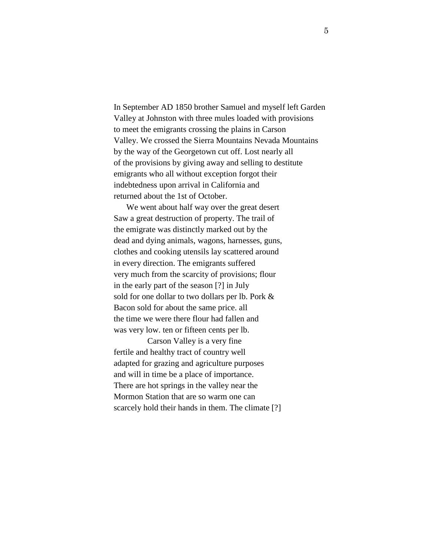In September AD 1850 brother Samuel and myself left Garden Valley at Johnston with three mules loaded with provisions to meet the emigrants crossing the plains in Carson Valley. We crossed the Sierra Mountains Nevada Mountains by the way of the Georgetown cut off. Lost nearly all of the provisions by giving away and selling to destitute emigrants who all without exception forgot their indebtedness upon arrival in California and returned about the 1st of October.

 We went about half way over the great desert Saw a great destruction of property. The trail of the emigrate was distinctly marked out by the dead and dying animals, wagons, harnesses, guns, clothes and cooking utensils lay scattered around in every direction. The emigrants suffered very much from the scarcity of provisions; flour in the early part of the season [?] in July sold for one dollar to two dollars per lb. Pork & Bacon sold for about the same price. all the time we were there flour had fallen and was very low. ten or fifteen cents per lb.

 Carson Valley is a very fine fertile and healthy tract of country well adapted for grazing and agriculture purposes and will in time be a place of importance. There are hot springs in the valley near the Mormon Station that are so warm one can scarcely hold their hands in them. The climate [?]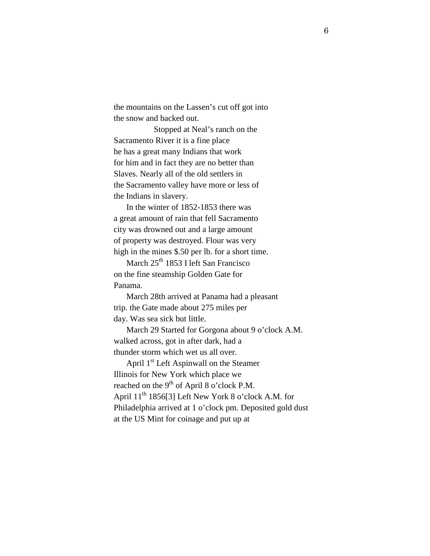the mountains on the Lassen's cut off got into the snow and backed out.

 Stopped at Neal's ranch on the Sacramento River it is a fine place he has a great many Indians that work for him and in fact they are no better than Slaves. Nearly all of the old settlers in the Sacramento valley have more or less of the Indians in slavery.

 In the winter of 1852-1853 there was a great amount of rain that fell Sacramento city was drowned out and a large amount of property was destroyed. Flour was very high in the mines \$.50 per lb. for a short time.

March 25<sup>th</sup> 1853 I left San Francisco on the fine steamship Golden Gate for Panama.

March 28th arrived at Panama had a pleasant trip. the Gate made about 275 miles per day. Was sea sick but little.

 March 29 Started for Gorgona about 9 o'clock A.M. walked across, got in after dark, had a thunder storm which wet us all over.

April 1<sup>st</sup> Left Aspinwall on the Steamer Illinois for New York which place we reached on the  $9<sup>th</sup>$  of April 8 o'clock P.M. April 11<sup>th</sup> 1856[3] Left New York 8 o'clock A.M. for Philadelphia arrived at 1 o'clock pm. Deposited gold dust at the US Mint for coinage and put up at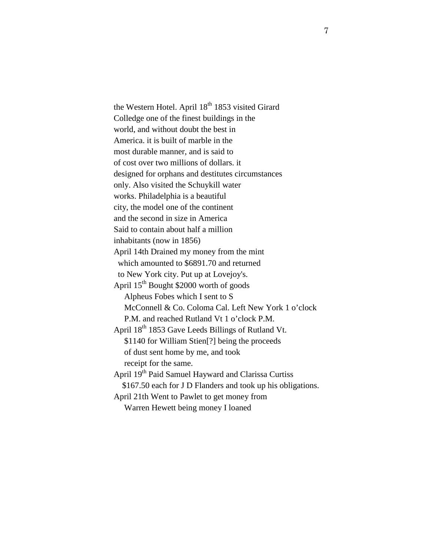the Western Hotel. April  $18<sup>th</sup> 1853$  visited Girard Colledge one of the finest buildings in the world, and without doubt the best in America. it is built of marble in the most durable manner, and is said to of cost over two millions of dollars. it designed for orphans and destitutes circumstances only. Also visited the Schuykill water works. Philadelphia is a beautiful city, the model one of the continent and the second in size in America Said to contain about half a million inhabitants (now in 1856) April 14th Drained my money from the mint which amounted to \$6891.70 and returned to New York city. Put up at Lovejoy's. April 15th Bought \$2000 worth of goods Alpheus Fobes which I sent to S McConnell & Co. Coloma Cal. Left New York 1 o'clock P.M. and reached Rutland Vt 1 o'clock P.M. April  $18^{th}$  1853 Gave Leeds Billings of Rutland Vt. \$1140 for William Stien[?] being the proceeds of dust sent home by me, and took receipt for the same. April 19<sup>th</sup> Paid Samuel Hayward and Clarissa Curtiss \$167.50 each for J D Flanders and took up his obligations. April 21th Went to Pawlet to get money from Warren Hewett being money I loaned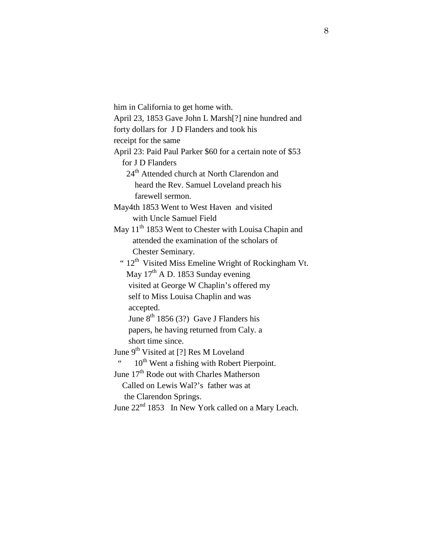him in California to get home with. April 23, 1853 Gave John L Marsh[?] nine hundred and forty dollars for J D Flanders and took his receipt for the same April 23: Paid Paul Parker \$60 for a certain note of \$53 for J D Flanders 24<sup>th</sup> Attended church at North Clarendon and heard the Rev. Samuel Loveland preach his farewell sermon. May4th 1853 Went to West Haven and visited with Uncle Samuel Field May 11<sup>th</sup> 1853 Went to Chester with Louisa Chapin and attended the examination of the scholars of Chester Seminary. "  $12<sup>th</sup>$  Visited Miss Emeline Wright of Rockingham Vt. May  $17<sup>th</sup>$  A D. 1853 Sunday evening visited at George W Chaplin's offered my self to Miss Louisa Chaplin and was accepted. June  $8^{th}$  1856 (3?) Gave J Flanders his papers, he having returned from Caly. a short time since. June  $9<sup>th</sup>$  Visited at [?] Res M Loveland 10<sup>th</sup> Went a fishing with Robert Pierpoint. June 17<sup>th</sup> Rode out with Charles Matherson Called on Lewis Wal?'s father was at the Clarendon Springs. June  $22<sup>nd</sup> 1853$  In New York called on a Mary Leach.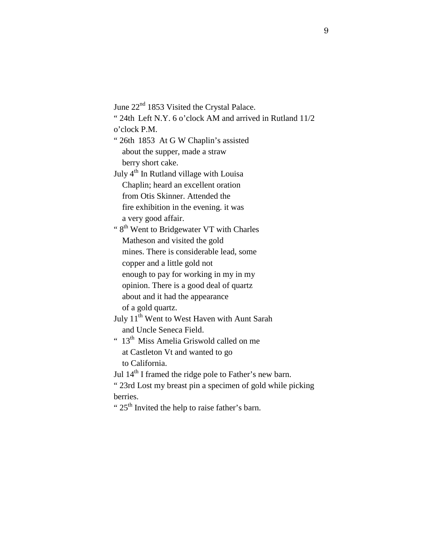June 22<sup>nd</sup> 1853 Visited the Crystal Palace.

" 24th Left N.Y. 6 o'clock AM and arrived in Rutland 11/2

o'clock P.M.

" 26th 1853 At G W Chaplin's assisted about the supper, made a straw berry short cake.

July  $4<sup>th</sup>$  In Rutland village with Louisa Chaplin; heard an excellent oration from Otis Skinner. Attended the fire exhibition in the evening. it was a very good affair.

"  $8<sup>th</sup>$  Went to Bridgewater VT with Charles Matheson and visited the gold mines. There is considerable lead, some copper and a little gold not enough to pay for working in my in my opinion. There is a good deal of quartz

 about and it had the appearance of a gold quartz.

July 11<sup>th</sup> Went to West Haven with Aunt Sarah and Uncle Seneca Field.

 $" 13<sup>th</sup> Miss Amelia Griswold called on me$  at Castleton Vt and wanted to go to California.

Jul 14<sup>th</sup> I framed the ridge pole to Father's new barn.

" 23rd Lost my breast pin a specimen of gold while picking berries.

"  $25<sup>th</sup>$  Invited the help to raise father's barn.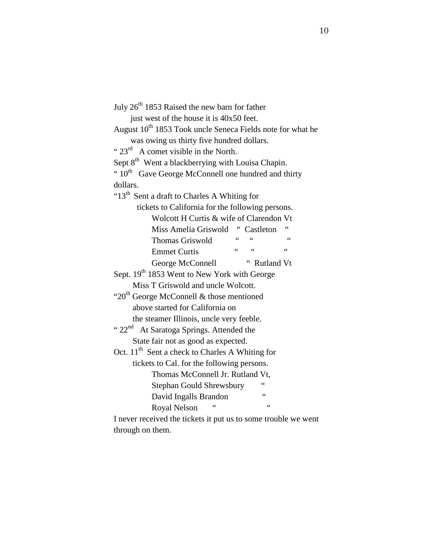| July 26 <sup>th</sup> 1853 Raised the new barn for father              |  |  |  |  |  |  |  |
|------------------------------------------------------------------------|--|--|--|--|--|--|--|
| just west of the house it is 40x50 feet.                               |  |  |  |  |  |  |  |
| August 10 <sup>th</sup> 1853 Took uncle Seneca Fields note for what he |  |  |  |  |  |  |  |
| was owing us thirty five hundred dollars.                              |  |  |  |  |  |  |  |
| " $23^{rd}$ A comet visible in the North.                              |  |  |  |  |  |  |  |
| Sept 8 <sup>th</sup> Went a blackberrying with Louisa Chapin.          |  |  |  |  |  |  |  |
| " 10 <sup>th</sup> Gave George McConnell one hundred and thirty        |  |  |  |  |  |  |  |
| dollars.                                                               |  |  |  |  |  |  |  |
| "13 <sup>th</sup> Sent a draft to Charles A Whiting for                |  |  |  |  |  |  |  |
| tickets to California for the following persons.                       |  |  |  |  |  |  |  |
| Wolcott H Curtis & wife of Clarendon Vt                                |  |  |  |  |  |  |  |
| Miss Amelia Griswold " Castleton                                       |  |  |  |  |  |  |  |
| $\zeta$ $\zeta$<br>66<br>Thomas Griswold                               |  |  |  |  |  |  |  |
| $66$ $66$<br>$\zeta$ $\zeta$<br><b>Emmet Curtis</b>                    |  |  |  |  |  |  |  |
| " Rutland Vt<br>George McConnell                                       |  |  |  |  |  |  |  |
| Sept. 19 <sup>th</sup> 1853 Went to New York with George               |  |  |  |  |  |  |  |
| Miss T Griswold and uncle Wolcott.                                     |  |  |  |  |  |  |  |
| "20 <sup>th</sup> George McConnell & those mentioned                   |  |  |  |  |  |  |  |
| above started for California on                                        |  |  |  |  |  |  |  |
| the steamer Illinois, uncle very feeble.                               |  |  |  |  |  |  |  |
| " 22 <sup>nd</sup> At Saratoga Springs. Attended the                   |  |  |  |  |  |  |  |
| State fair not as good as expected.                                    |  |  |  |  |  |  |  |
| Oct. 11 <sup>th</sup> Sent a check to Charles A Whiting for            |  |  |  |  |  |  |  |
| tickets to Cal. for the following persons.                             |  |  |  |  |  |  |  |
| Thomas McConnell Jr. Rutland Vt.                                       |  |  |  |  |  |  |  |
| <b>Stephan Gould Shrewsbury</b>                                        |  |  |  |  |  |  |  |
| $\epsilon$<br>David Ingalls Brandon                                    |  |  |  |  |  |  |  |
| 66<br>Royal Nelson                                                     |  |  |  |  |  |  |  |
| I never received the tickets it put us to some trouble we went         |  |  |  |  |  |  |  |

through on them.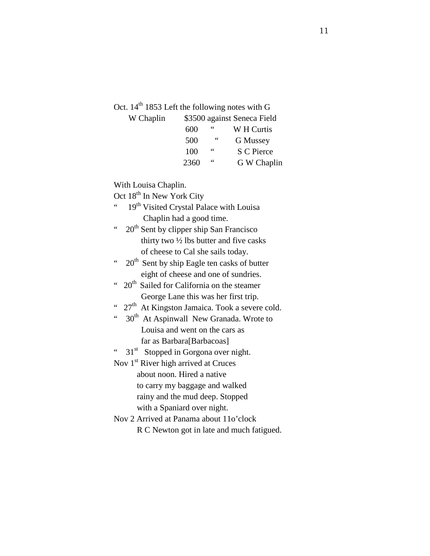Oct.  $14<sup>th</sup>$  1853 Left the following notes with G

| W Chaplin |      | \$3500 against Seneca Field |             |  |  |  |  |
|-----------|------|-----------------------------|-------------|--|--|--|--|
|           | 600  | 66                          | W H Curtis  |  |  |  |  |
|           | 500  | 66                          | G Mussey    |  |  |  |  |
|           | 100  | 66                          | S C Pierce  |  |  |  |  |
|           | 2360 | 66                          | G W Chaplin |  |  |  |  |

With Louisa Chaplin.

Oct  $18^{th}$  In New York City

- 19<sup>th</sup> Visited Crystal Palace with Louisa Chaplin had a good time.
- "  $20<sup>th</sup>$  Sent by clipper ship San Francisco thirty two  $\frac{1}{2}$  lbs butter and five casks of cheese to Cal she sails today.
- "  $20<sup>th</sup>$  Sent by ship Eagle ten casks of butter eight of cheese and one of sundries.
- $"$  20<sup>th</sup> Sailed for California on the steamer George Lane this was her first trip.
- "  $27<sup>th</sup>$  At Kingston Jamaica. Took a severe cold.
- $"$  30<sup>th</sup> At Aspinwall New Granada. Wrote to Louisa and went on the cars as far as Barbara[Barbacoas]

"  $31<sup>st</sup>$  Stopped in Gorgona over night.

Nov 1<sup>st</sup> River high arrived at Cruces

 about noon. Hired a native to carry my baggage and walked rainy and the mud deep. Stopped with a Spaniard over night.

Nov 2 Arrived at Panama about 11o'clock R C Newton got in late and much fatigued.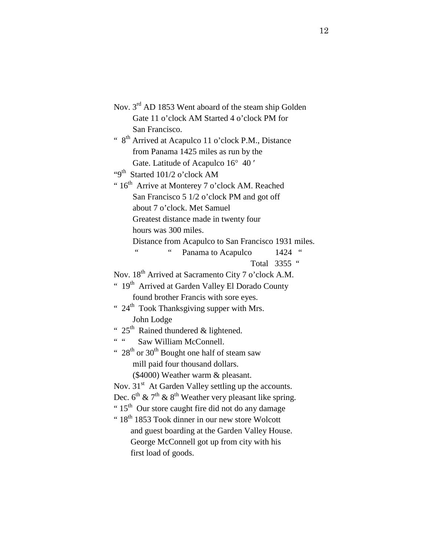| Nov. 3 <sup>rd</sup> AD 1853 Went aboard of the steam ship Golden      |
|------------------------------------------------------------------------|
| Gate 11 o'clock AM Started 4 o'clock PM for                            |
| San Francisco.                                                         |
| " 8 <sup>th</sup> Arrived at Acapulco 11 o'clock P.M., Distance        |
| from Panama 1425 miles as run by the                                   |
| Gate. Latitude of Acapulco 16° 40'                                     |
| "9 <sup>th</sup> Started 101/2 o'clock AM                              |
| "16 <sup>th</sup> Arrive at Monterey 7 o'clock AM. Reached             |
| San Francisco 5 1/2 o'clock PM and got off                             |
| about 7 o'clock. Met Samuel                                            |
| Greatest distance made in twenty four                                  |
| hours was 300 miles.                                                   |
| Distance from Acapulco to San Francisco 1931 miles.                    |
| 66<br>$\zeta$<br>Panama to Acapulco<br>1424                            |
| Total 3355 "                                                           |
| Nov. 18 <sup>th</sup> Arrived at Sacramento City 7 o'clock A.M.        |
| " 19 <sup>th</sup> Arrived at Garden Valley El Dorado County           |
| found brother Francis with sore eyes.                                  |
| " 24 <sup>th</sup> Took Thanksgiving supper with Mrs.                  |
| John Lodge                                                             |
| " $25$ <sup>th</sup> Rained thundered & lightened.                     |
| $66 - 66$<br>Saw William McConnell.                                    |
| " $28^{th}$ or $30^{th}$ Bought one half of steam saw                  |
| mill paid four thousand dollars.                                       |
| (\$4000) Weather warm & pleasant.                                      |
| Nov. 31 <sup>st</sup> At Garden Valley settling up the accounts.       |
| Dec. $6^{th}$ & $7^{th}$ & $8^{th}$ Weather very pleasant like spring. |
| "15 <sup>th</sup> Our store caught fire did not do any damage          |
| "18 <sup>th</sup> 1853 Took dinner in our new store Wolcott            |
| and guest boarding at the Garden Valley House.                         |
| George McConnell got up from city with his                             |
| first load of goods.                                                   |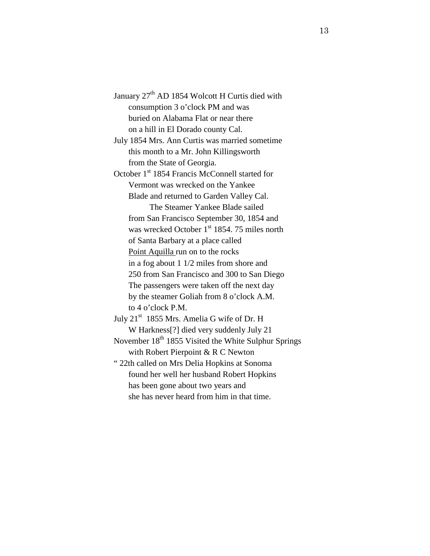January 27<sup>th</sup> AD 1854 Wolcott H Curtis died with consumption 3 o'clock PM and was buried on Alabama Flat or near there on a hill in El Dorado county Cal.

July 1854 Mrs. Ann Curtis was married sometime this month to a Mr. John Killingsworth from the State of Georgia.

October 1<sup>st</sup> 1854 Francis McConnell started for Vermont was wrecked on the Yankee Blade and returned to Garden Valley Cal. The Steamer Yankee Blade sailed from San Francisco September 30, 1854 and was wrecked October 1<sup>st</sup> 1854. 75 miles north of Santa Barbary at a place called Point Aquilla run on to the rocks in a fog about 1 1/2 miles from shore and 250 from San Francisco and 300 to San Diego The passengers were taken off the next day by the steamer Goliah from 8 o'clock A.M. to 4 o'clock P.M.

July 21<sup>st</sup> 1855 Mrs. Amelia G wife of Dr. H W Harkness[?] died very suddenly July 21 November  $18<sup>th</sup> 1855$  Visited the White Sulphur Springs with Robert Pierpoint & R C Newton " 22th called on Mrs Delia Hopkins at Sonoma

 found her well her husband Robert Hopkins has been gone about two years and she has never heard from him in that time.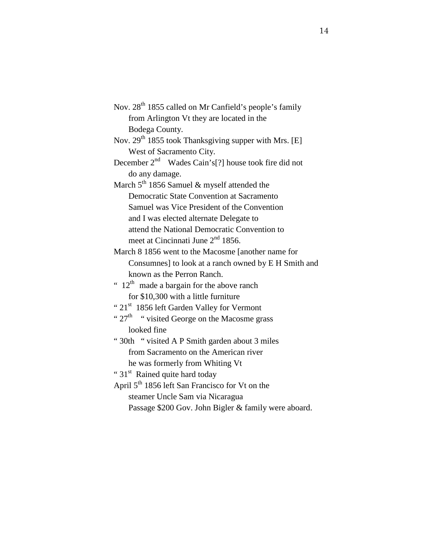Nov. 28<sup>th</sup> 1855 called on Mr Canfield's people's family from Arlington Vt they are located in the Bodega County. Nov.  $29<sup>th</sup> 1855$  took Thanksgiving supper with Mrs. [E] West of Sacramento City. December  $2^{nd}$  Wades Cain's[?] house took fire did not do any damage. March  $5<sup>th</sup>$  1856 Samuel & myself attended the Democratic State Convention at Sacramento Samuel was Vice President of the Convention and I was elected alternate Delegate to attend the National Democratic Convention to meet at Cincinnati June 2<sup>nd</sup> 1856. March 8 1856 went to the Macosme [another name for Consumnes] to look at a ranch owned by E H Smith and known as the Perron Ranch. "  $12<sup>th</sup>$  made a bargain for the above ranch for \$10,300 with a little furniture " 21<sup>st</sup> 1856 left Garden Valley for Vermont "  $27<sup>th</sup>$  " visited George on the Macosme grass looked fine " 30th " visited A P Smith garden about 3 miles from Sacramento on the American river he was formerly from Whiting Vt " 31<sup>st</sup> Rained quite hard today" April 5<sup>th</sup> 1856 left San Francisco for Vt on the steamer Uncle Sam via Nicaragua

Passage \$200 Gov. John Bigler & family were aboard.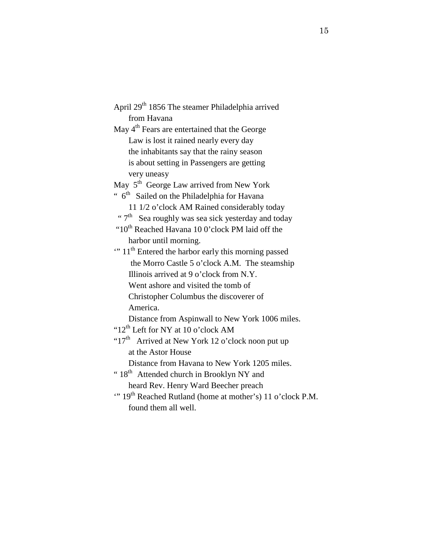April 29<sup>th</sup> 1856 The steamer Philadelphia arrived from Havana May  $4<sup>th</sup>$  Fears are entertained that the George Law is lost it rained nearly every day the inhabitants say that the rainy season is about setting in Passengers are getting very uneasy May 5<sup>th</sup> George Law arrived from New York "  $6<sup>th</sup>$  Sailed on the Philadelphia for Havana 11 1/2 o'clock AM Rained considerably today " $7<sup>th</sup>$  Sea roughly was sea sick yesterday and today " $10^{th}$  Reached Havana 10 0'clock PM laid off the harbor until morning. " 11<sup>th</sup> Entered the harbor early this morning passed the Morro Castle 5 o'clock A.M. The steamship Illinois arrived at 9 o'clock from N.Y. Went ashore and visited the tomb of Christopher Columbus the discoverer of America. Distance from Aspinwall to New York 1006 miles. "12<sup>th</sup> Left for NY at 10 o'clock AM " $17<sup>th</sup>$  Arrived at New York 12 o'clock noon put up at the Astor House Distance from Havana to New York 1205 miles. "  $18<sup>th</sup>$  Attended church in Brooklyn NY and heard Rev. Henry Ward Beecher preach " 19<sup>th</sup> Reached Rutland (home at mother's) 11 o'clock P.M. found them all well.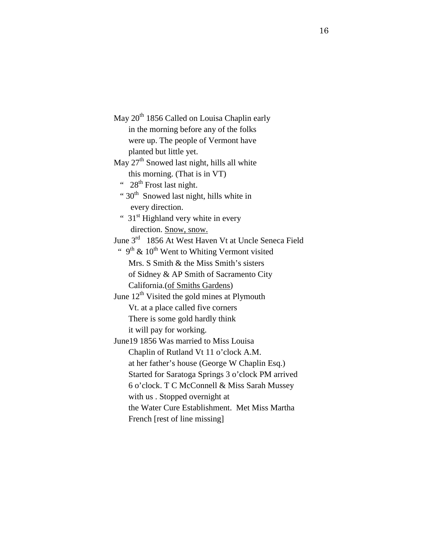May 20<sup>th</sup> 1856 Called on Louisa Chaplin early in the morning before any of the folks were up. The people of Vermont have planted but little yet. May  $27<sup>th</sup>$  Snowed last night, hills all white this morning. (That is in VT) "  $28<sup>th</sup>$  Frost last night. "  $30<sup>th</sup>$  Snowed last night, hills white in every direction. " 31<sup>st</sup> Highland very white in every direction. Snow, snow. June 3rd 1856 At West Haven Vt at Uncle Seneca Field "  $9<sup>th</sup>$  & 10<sup>th</sup> Went to Whiting Vermont visited Mrs. S Smith & the Miss Smith's sisters of Sidney & AP Smith of Sacramento City California.(of Smiths Gardens) June  $12<sup>th</sup>$  Visited the gold mines at Plymouth Vt. at a place called five corners There is some gold hardly think it will pay for working. June19 1856 Was married to Miss Louisa Chaplin of Rutland Vt 11 o'clock A.M. at her father's house (George W Chaplin Esq.) Started for Saratoga Springs 3 o'clock PM arrived 6 o'clock. T C McConnell & Miss Sarah Mussey with us . Stopped overnight at the Water Cure Establishment. Met Miss Martha French [rest of line missing]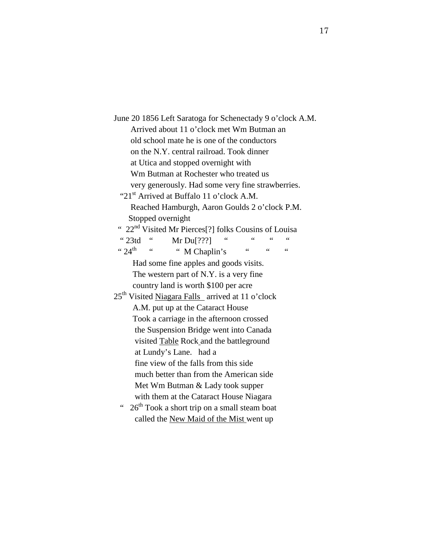| June 20 1856 Left Saratoga for Schenectady 9 o'clock A.M.                             |  |  |  |  |  |  |
|---------------------------------------------------------------------------------------|--|--|--|--|--|--|
| Arrived about 11 o'clock met Wm Butman an                                             |  |  |  |  |  |  |
| old school mate he is one of the conductors                                           |  |  |  |  |  |  |
| on the N.Y. central railroad. Took dinner                                             |  |  |  |  |  |  |
| at Utica and stopped overnight with                                                   |  |  |  |  |  |  |
| Wm Butman at Rochester who treated us                                                 |  |  |  |  |  |  |
| very generously. Had some very fine strawberries.                                     |  |  |  |  |  |  |
| "21 <sup>st</sup> Arrived at Buffalo 11 o'clock A.M.                                  |  |  |  |  |  |  |
| Reached Hamburgh, Aaron Goulds 2 o'clock P.M.                                         |  |  |  |  |  |  |
| Stopped overnight                                                                     |  |  |  |  |  |  |
| " 22 <sup>nd</sup> Visited Mr Pierces <sup>[?]</sup> folks Cousins of Louisa          |  |  |  |  |  |  |
| $\degree$ 23td $\degree$<br>Mr Du $[???]$                                             |  |  |  |  |  |  |
| $4.24^{\text{th}}$ $4.6$<br>$\zeta$ $\zeta$<br>" M Chaplin's<br>66<br>$\zeta$ $\zeta$ |  |  |  |  |  |  |
| Had some fine apples and goods visits.                                                |  |  |  |  |  |  |
| The western part of N.Y. is a very fine                                               |  |  |  |  |  |  |
| country land is worth \$100 per acre                                                  |  |  |  |  |  |  |
| 25 <sup>th</sup> Visited Niagara Falls arrived at 11 o'clock                          |  |  |  |  |  |  |
| A.M. put up at the Cataract House                                                     |  |  |  |  |  |  |
| Took a carriage in the afternoon crossed                                              |  |  |  |  |  |  |
| the Suspension Bridge went into Canada                                                |  |  |  |  |  |  |
| visited Table Rock and the battleground                                               |  |  |  |  |  |  |
| at Lundy's Lane. had a                                                                |  |  |  |  |  |  |
| fine view of the falls from this side                                                 |  |  |  |  |  |  |
| much better than from the American side                                               |  |  |  |  |  |  |
| Met Wm Butman & Lady took supper                                                      |  |  |  |  |  |  |
| with them at the Cataract House Niagara                                               |  |  |  |  |  |  |
| 26 <sup>th</sup> Took a short trip on a small steam boat<br>$\zeta \zeta$             |  |  |  |  |  |  |
| called the New Maid of the Mist went up                                               |  |  |  |  |  |  |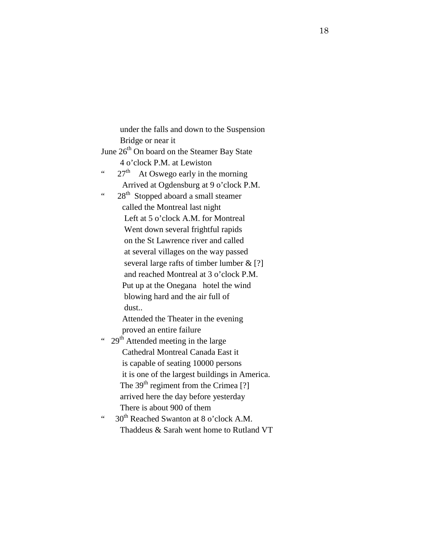under the falls and down to the Suspension Bridge or near it June 26<sup>th</sup> On board on the Steamer Bay State 4 o'clock P.M. at Lewiston "  $27<sup>th</sup>$  At Oswego early in the morning Arrived at Ogdensburg at 9 o'clock P.M. "  $28<sup>th</sup>$  Stopped aboard a small steamer called the Montreal last night Left at 5 o'clock A.M. for Montreal Went down several frightful rapids on the St Lawrence river and called at several villages on the way passed several large rafts of timber lumber  $\&$  [?] and reached Montreal at 3 o'clock P.M. Put up at the Onegana hotel the wind blowing hard and the air full of dust.. Attended the Theater in the evening proved an entire failure "  $29<sup>th</sup>$  Attended meeting in the large Cathedral Montreal Canada East it is capable of seating 10000 persons it is one of the largest buildings in America. The  $39<sup>th</sup>$  regiment from the Crimea [?] arrived here the day before yesterday There is about 900 of them  $\cdot$  30<sup>th</sup> Reached Swanton at 8 o'clock A.M. Thaddeus & Sarah went home to Rutland VT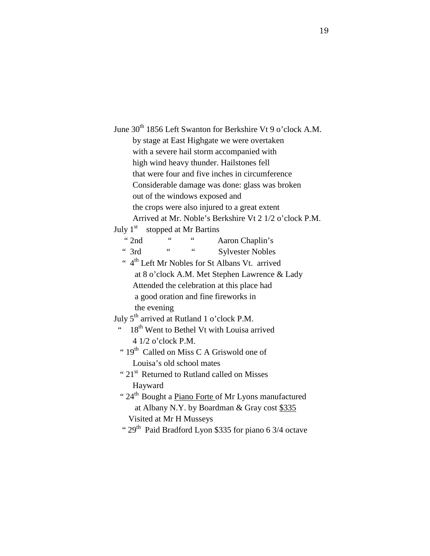June 30<sup>th</sup> 1856 Left Swanton for Berkshire Vt 9 o'clock A.M. by stage at East Highgate we were overtaken with a severe hail storm accompanied with high wind heavy thunder. Hailstones fell that were four and five inches in circumference Considerable damage was done: glass was broken out of the windows exposed and the crops were also injured to a great extent Arrived at Mr. Noble's Berkshire Vt 2 1/2 o'clock P.M. July  $1<sup>st</sup>$  stopped at Mr Bartins " 2nd " " Aaron Chaplin's " 3rd " " Sylvester Nobles " 4<sup>th</sup> Left Mr Nobles for St Albans Vt. arrived at 8 o'clock A.M. Met Stephen Lawrence & Lady Attended the celebration at this place had a good oration and fine fireworks in the evening July  $5<sup>th</sup>$  arrived at Rutland 1 o'clock P.M.  $\cdot$  18<sup>th</sup> Went to Bethel Vt with Louisa arrived 4 1/2 o'clock P.M. "  $19<sup>th</sup>$  Called on Miss C A Griswold one of Louisa's old school mates " 21<sup>st</sup> Returned to Rutland called on Misses" Hayward " 24<sup>th</sup> Bought a *Piano Forte of Mr Lyons manufactured*  at Albany N.Y. by Boardman & Gray cost \$335 Visited at Mr H Musseys "  $29<sup>th</sup>$  Paid Bradford Lyon \$335 for piano 6 3/4 octave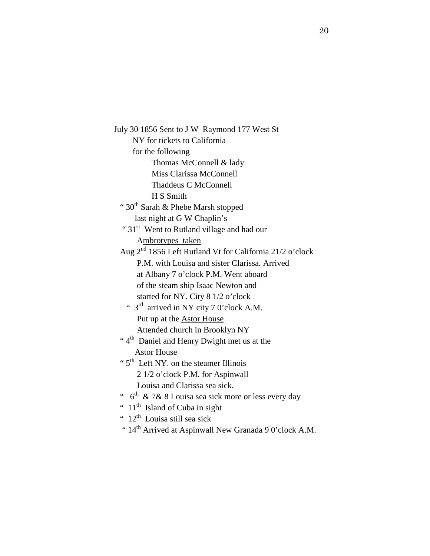July 30 1856 Sent to J W Raymond 177 West St NY for tickets to California for the following Thomas McConnell & lady Miss Clarissa McConnell Thaddeus C McConnell H S Smith " 30<sup>th</sup> Sarah & Phebe Marsh stopped last night at G W Chaplin's " 31<sup>st</sup> Went to Rutland village and had our Ambrotypes taken Aug 2nd 1856 Left Rutland Vt for California 21/2 o'clock P.M. with Louisa and sister Clarissa. Arrived at Albany 7 o'clock P.M. Went aboard of the steam ship Isaac Newton and started for NY. City 8 1/2 o'clock "  $3<sup>rd</sup>$  arrived in NY city 7 0'clock A.M. Put up at the Astor House Attended church in Brooklyn NY "  $4<sup>th</sup>$  Daniel and Henry Dwight met us at the Astor House "  $5<sup>th</sup>$  Left NY. on the steamer Illinois 2 1/2 o'clock P.M. for Aspinwall Louisa and Clarissa sea sick. "  $6<sup>th</sup>$  & 7& 8 Louisa sea sick more or less every day "  $11<sup>th</sup>$  Island of Cuba in sight "  $12<sup>th</sup>$  Louisa still sea sick

" 14<sup>th</sup> Arrived at Aspinwall New Granada 9 0'clock A.M.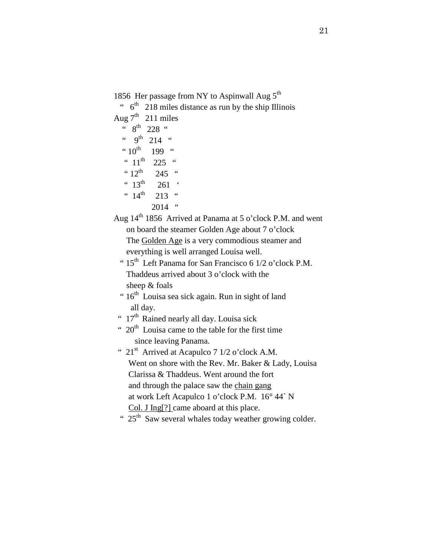1856 Her passage from NY to Aspinwall Aug  $5<sup>th</sup>$ 

 $\cdot$  6<sup>th</sup> 218 miles distance as run by the ship Illinois Aug  $7<sup>th</sup>$  211 miles  $\frac{6}{10}$  8<sup>th</sup> 228 "  $``9<sup>th</sup>214"$  $"10^{th}$  199 " "  $11^{\text{th}}$  225 "  $"12^{th}$  245 " "  $13^{th}$  261 ' "  $14^{\text{th}}$  213 "  $2014$  "

Aug 14th 1856 Arrived at Panama at 5 o'clock P.M. and went on board the steamer Golden Age about 7 o'clock The Golden Age is a very commodious steamer and everything is well arranged Louisa well.

```
" 15<sup>th</sup> Left Panama for San Francisco 6 1/2 o'clock P.M.
Thaddeus arrived about 3 o'clock with the 
sheep & foals
```
- "  $16<sup>th</sup>$  Louisa sea sick again. Run in sight of land all day.
- "  $17<sup>th</sup>$  Rained nearly all day. Louisa sick

"  $20<sup>th</sup>$  Louisa came to the table for the first time since leaving Panama.

- "  $21<sup>st</sup>$  Arrived at Acapulco 7 1/2 o'clock A.M. Went on shore with the Rev. Mr. Baker & Lady, Louisa Clarissa & Thaddeus. Went around the fort and through the palace saw the chain gang at work Left Acapulco 1 o'clock P.M. 16° 44` N Col. J Ing[?] came aboard at this place.
	- "  $25<sup>th</sup>$  Saw several whales today weather growing colder.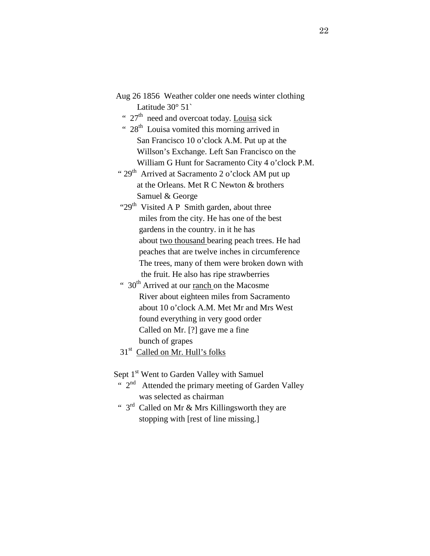| Aug 26 1856 Weather colder one needs winter clothing |                          |  |  |  |
|------------------------------------------------------|--------------------------|--|--|--|
|                                                      | Latitude $30^{\circ}$ 51 |  |  |  |

- "  $27<sup>th</sup>$  need and overcoat today. Louisa sick
- "  $28<sup>th</sup>$  Louisa vomited this morning arrived in San Francisco 10 o'clock A.M. Put up at the Willson's Exchange. Left San Francisco on the William G Hunt for Sacramento City 4 o'clock P.M.
- " 29<sup>th</sup> Arrived at Sacramento 2 o'clock AM put up at the Orleans. Met R C Newton & brothers Samuel & George
- " $29<sup>th</sup>$  Visited A P Smith garden, about three miles from the city. He has one of the best gardens in the country. in it he has about two thousand bearing peach trees. He had peaches that are twelve inches in circumference The trees, many of them were broken down with the fruit. He also has ripe strawberries
- "  $30<sup>th</sup>$  Arrived at our <u>ranch</u> on the Macosme River about eighteen miles from Sacramento about 10 o'clock A.M. Met Mr and Mrs West found everything in very good order Called on Mr. [?] gave me a fine bunch of grapes
- 31<sup>st</sup> Called on Mr. Hull's folks

Sept 1<sup>st</sup> Went to Garden Valley with Samuel

- "  $2<sup>nd</sup>$  Attended the primary meeting of Garden Valley was selected as chairman
- "  $3<sup>rd</sup>$  Called on Mr & Mrs Killingsworth they are stopping with [rest of line missing.]